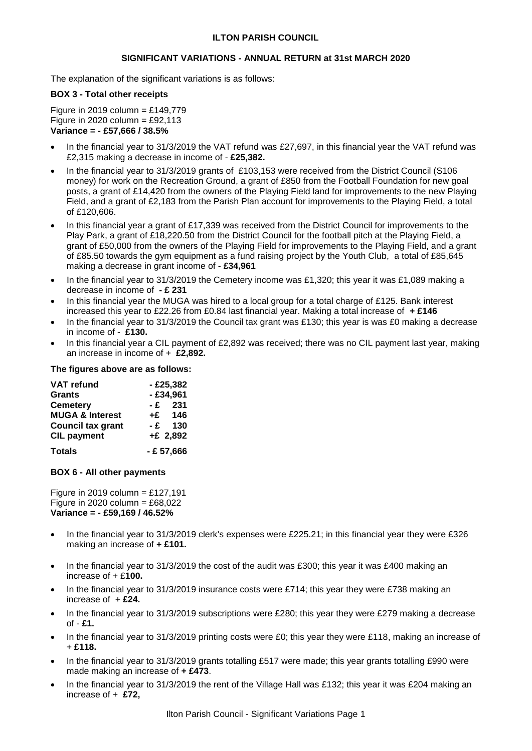## **ILTON PARISH COUNCIL**

### **SIGNIFICANT VARIATIONS - ANNUAL RETURN at 31st MARCH 2020**

The explanation of the significant variations is as follows:

# **BOX 3 - Total other receipts**

Figure in 2019 column =  $£149,779$ Figure in 2020 column =  $£92,113$ **Variance = - £57,666 / 38.5%**

- In the financial year to 31/3/2019 the VAT refund was £27,697, in this financial year the VAT refund was £2,315 making a decrease in income of - **£25,382.**
- In the financial year to 31/3/2019 grants of £103,153 were received from the District Council (S106 money) for work on the Recreation Ground, a grant of £850 from the Football Foundation for new goal posts, a grant of £14,420 from the owners of the Playing Field land for improvements to the new Playing Field, and a grant of £2,183 from the Parish Plan account for improvements to the Playing Field, a total of £120,606.
- In this financial year a grant of £17,339 was received from the District Council for improvements to the Play Park, a grant of £18,220.50 from the District Council for the football pitch at the Playing Field, a grant of £50,000 from the owners of the Playing Field for improvements to the Playing Field, and a grant of £85.50 towards the gym equipment as a fund raising project by the Youth Club, a total of £85,645 making a decrease in grant income of - **£34,961**
- In the financial year to 31/3/2019 the Cemetery income was £1,320; this year it was £1,089 making a decrease in income of **- £ 231**
- In this financial year the MUGA was hired to a local group for a total charge of £125. Bank interest increased this year to £22.26 from £0.84 last financial year. Making a total increase of **+ £146**
- In the financial year to 31/3/2019 the Council tax grant was £130; this year is was £0 making a decrease in income of - **£130.**
- In this financial year a CIL payment of £2,892 was received; there was no CIL payment last year, making an increase in income of + **£2,892.**

### **The figures above are as follows:**

| <b>VAT refund</b>          | $-£25,382$   |  |
|----------------------------|--------------|--|
| <b>Grants</b>              | $-£34,961$   |  |
| <b>Cemetery</b>            | $-E$ 231     |  |
| <b>MUGA &amp; Interest</b> | $+E$ 146     |  |
| <b>Council tax grant</b>   | 130<br>-£    |  |
| <b>CIL payment</b>         | $+E$ 2,892   |  |
| <b>Totals</b>              | $- E 57,666$ |  |

#### **BOX 6 - All other payments**

Figure in 2019 column =  $£127,191$ Figure in 2020 column =  $£68,022$ **Variance = - £59,169 / 46.52%**

- In the financial year to 31/3/2019 clerk's expenses were £225.21; in this financial year they were £326 making an increase of **+ £101.**
- In the financial year to 31/3/2019 the cost of the audit was £300; this year it was £400 making an increase of + £**100.**
- In the financial year to 31/3/2019 insurance costs were £714; this year they were £738 making an increase of + **£24.**
- In the financial year to 31/3/2019 subscriptions were £280; this year they were £279 making a decrease of - **£1.**
- In the financial year to 31/3/2019 printing costs were £0; this year they were £118, making an increase of + **£118.**
- In the financial year to 31/3/2019 grants totalling £517 were made; this year grants totalling £990 were made making an increase of **+ £473**.
- In the financial year to 31/3/2019 the rent of the Village Hall was £132; this year it was £204 making an increase of + **£72,**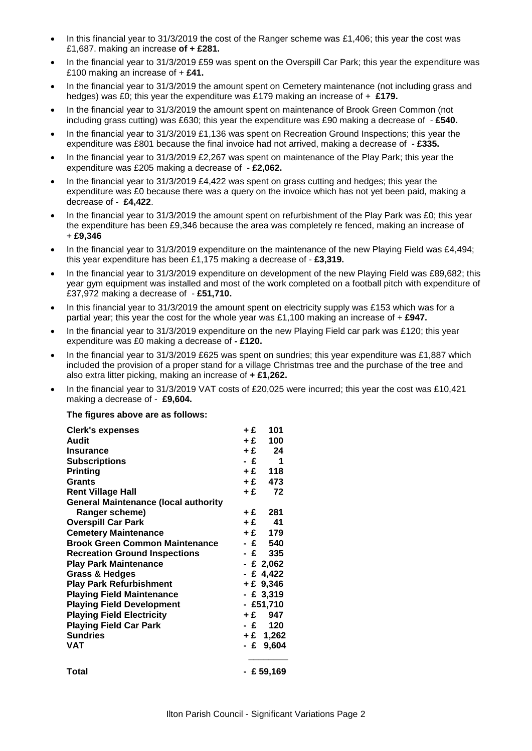- In this financial year to 31/3/2019 the cost of the Ranger scheme was £1,406; this year the cost was £1,687. making an increase **of + £281.**
- In the financial year to 31/3/2019 £59 was spent on the Overspill Car Park; this year the expenditure was £100 making an increase of + **£41.**
- In the financial year to 31/3/2019 the amount spent on Cemetery maintenance (not including grass and hedges) was £0; this year the expenditure was £179 making an increase of + **£179.**
- In the financial year to 31/3/2019 the amount spent on maintenance of Brook Green Common (not including grass cutting) was £630; this year the expenditure was £90 making a decrease of - **£540.**
- In the financial year to 31/3/2019 £1,136 was spent on Recreation Ground Inspections; this year the expenditure was £801 because the final invoice had not arrived, making a decrease of - **£335.**
- In the financial year to 31/3/2019 £2,267 was spent on maintenance of the Play Park; this year the expenditure was £205 making a decrease of - **£2,062.**
- In the financial year to 31/3/2019 £4,422 was spent on grass cutting and hedges; this year the expenditure was £0 because there was a query on the invoice which has not yet been paid, making a decrease of - **£4,422**.
- In the financial year to 31/3/2019 the amount spent on refurbishment of the Play Park was £0; this year the expenditure has been £9,346 because the area was completely re fenced, making an increase of + **£9,346**
- In the financial year to 31/3/2019 expenditure on the maintenance of the new Playing Field was £4,494; this year expenditure has been £1,175 making a decrease of - **£3,319.**
- In the financial year to 31/3/2019 expenditure on development of the new Playing Field was £89,682; this year gym equipment was installed and most of the work completed on a football pitch with expenditure of £37,972 making a decrease of - **£51,710.**
- In this financial year to 31/3/2019 the amount spent on electricity supply was £153 which was for a partial year; this year the cost for the whole year was £1,100 making an increase of + **£947.**
- In the financial year to 31/3/2019 expenditure on the new Playing Field car park was £120; this year expenditure was £0 making a decrease of **- £120.**
- In the financial year to 31/3/2019 £625 was spent on sundries; this year expenditure was £1,887 which included the provision of a proper stand for a village Christmas tree and the purchase of the tree and also extra litter picking, making an increase of **+ £1,262.**
- In the financial year to 31/3/2019 VAT costs of £20,025 were incurred; this year the cost was £10,421 making a decrease of - **£9,604.**

#### **The figures above are as follows:**

| <b>Clerk's expenses</b>                     | +£   | 101         |
|---------------------------------------------|------|-------------|
| Audit                                       | $+E$ | 100         |
| <b>Insurance</b>                            | $+E$ | 24          |
| <b>Subscriptions</b>                        | - £  | - 1         |
| <b>Printing</b>                             | $+E$ | 118         |
| <b>Grants</b>                               | $+E$ | 473         |
| <b>Rent Village Hall</b>                    | $+E$ | 72          |
| <b>General Maintenance (local authority</b> |      |             |
| Ranger scheme)                              | +£   | 281         |
| <b>Overspill Car Park</b>                   |      | $+E$ 41     |
| <b>Cemetery Maintenance</b>                 |      | $+E$ 179    |
| <b>Brook Green Common Maintenance</b>       |      | -£ 540      |
| <b>Recreation Ground Inspections</b>        |      | -£ 335      |
| <b>Play Park Maintenance</b>                |      | $-E2,062$   |
| Grass & Hedges                              |      | - £ 4,422   |
| <b>Play Park Refurbishment</b>              |      | $+ E$ 9,346 |
| <b>Playing Field Maintenance</b>            |      | - £ 3,319   |
| <b>Playing Field Development</b>            |      | $-£51,710$  |
| <b>Playing Field Electricity</b>            |      | +£ 947      |
| <b>Playing Field Car Park</b>               |      | $-E$ 120    |
| <b>Sundries</b>                             |      | $+£$ 1,262  |
| <b>VAT</b>                                  |      | $-E$ 9,604  |
| Total                                       |      | - £ 59,169  |